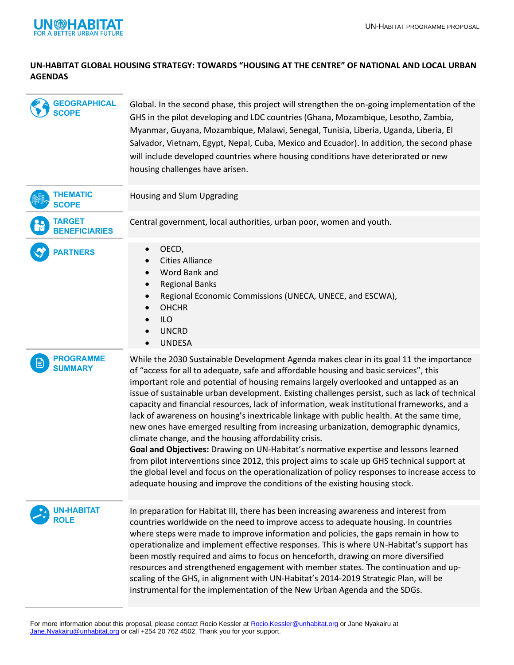

## **UN-HABITAT GLOBAL HOUSING STRATEGY: TOWARDS "HOUSING AT THE CENTRE" OF NATIONAL AND LOCAL URBAN AGENDAS**

| <b>GEOGRAPHICAL</b><br><b>SCOPE</b>   | Global. In the second phase, this project will strengthen the on-going implementation of the<br>GHS in the pilot developing and LDC countries (Ghana, Mozambique, Lesotho, Zambia,<br>Myanmar, Guyana, Mozambique, Malawi, Senegal, Tunisia, Liberia, Uganda, Liberia, El<br>Salvador, Vietnam, Egypt, Nepal, Cuba, Mexico and Ecuador). In addition, the second phase<br>will include developed countries where housing conditions have deteriorated or new<br>housing challenges have arisen.                                                                                                                                                                                                                                                                                                                                                                                                                                                                                                                                                                                                |
|---------------------------------------|------------------------------------------------------------------------------------------------------------------------------------------------------------------------------------------------------------------------------------------------------------------------------------------------------------------------------------------------------------------------------------------------------------------------------------------------------------------------------------------------------------------------------------------------------------------------------------------------------------------------------------------------------------------------------------------------------------------------------------------------------------------------------------------------------------------------------------------------------------------------------------------------------------------------------------------------------------------------------------------------------------------------------------------------------------------------------------------------|
| <b>THEMATIC</b><br><b>SCOPE</b>       | Housing and Slum Upgrading                                                                                                                                                                                                                                                                                                                                                                                                                                                                                                                                                                                                                                                                                                                                                                                                                                                                                                                                                                                                                                                                     |
| <b>TARGET</b><br><b>BENEFICIARIES</b> | Central government, local authorities, urban poor, women and youth.                                                                                                                                                                                                                                                                                                                                                                                                                                                                                                                                                                                                                                                                                                                                                                                                                                                                                                                                                                                                                            |
| <b>PARTNERS</b>                       | OECD,<br>$\bullet$<br><b>Cities Alliance</b><br>Word Bank and<br>$\bullet$<br><b>Regional Banks</b><br>$\bullet$<br>Regional Economic Commissions (UNECA, UNECE, and ESCWA),<br>$\bullet$<br><b>OHCHR</b><br>$\bullet$<br><b>ILO</b><br><b>UNCRD</b><br><b>UNDESA</b><br>$\bullet$                                                                                                                                                                                                                                                                                                                                                                                                                                                                                                                                                                                                                                                                                                                                                                                                             |
| <b>PROGRAMME</b><br><b>SUMMARY</b>    | While the 2030 Sustainable Development Agenda makes clear in its goal 11 the importance<br>of "access for all to adequate, safe and affordable housing and basic services", this<br>important role and potential of housing remains largely overlooked and untapped as an<br>issue of sustainable urban development. Existing challenges persist, such as lack of technical<br>capacity and financial resources, lack of information, weak institutional frameworks, and a<br>lack of awareness on housing's inextricable linkage with public health. At the same time,<br>new ones have emerged resulting from increasing urbanization, demographic dynamics,<br>climate change, and the housing affordability crisis.<br>Goal and Objectives: Drawing on UN-Habitat's normative expertise and lessons learned<br>from pilot interventions since 2012, this project aims to scale up GHS technical support at<br>the global level and focus on the operationalization of policy responses to increase access to<br>adequate housing and improve the conditions of the existing housing stock. |
| <b>UN-HABITAT</b><br>ROLE             | In preparation for Habitat III, there has been increasing awareness and interest from<br>countries worldwide on the need to improve access to adequate housing. In countries<br>where steps were made to improve information and policies, the gaps remain in how to<br>operationalize and implement effective responses. This is where UN-Habitat's support has<br>been mostly required and aims to focus on henceforth, drawing on more diversified<br>resources and strengthened engagement with member states. The continuation and up-<br>scaling of the GHS, in alignment with UN-Habitat's 2014-2019 Strategic Plan, will be<br>instrumental for the implementation of the New Urban Agenda and the SDGs.                                                                                                                                                                                                                                                                                                                                                                               |